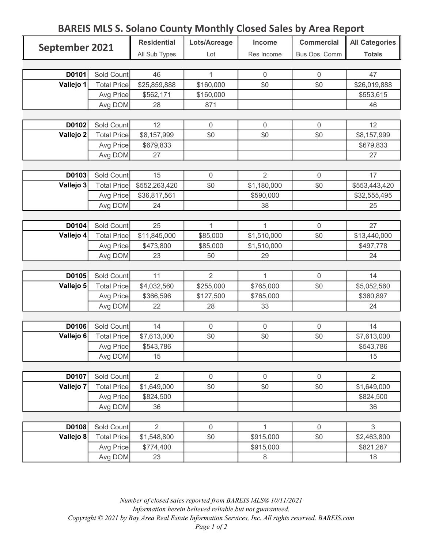## BAREIS MLS S. Solano County Monthly Closed Sales by Area Report

| September 2021 |                    | <b>Residential</b> | Lots/Acreage   | Income         | <b>Commercial</b> | <b>All Categories</b> |
|----------------|--------------------|--------------------|----------------|----------------|-------------------|-----------------------|
|                |                    | All Sub Types      | Lot            | Res Income     | Bus Ops, Comm     | <b>Totals</b>         |
|                |                    |                    |                |                |                   |                       |
| D0101          | Sold Count         | 46                 | 1              | $\overline{0}$ | $\overline{0}$    | 47                    |
| Vallejo 1      | <b>Total Price</b> | \$25,859,888       | \$160,000      | \$0            | \$0               | \$26,019,888          |
|                | Avg Price          | \$562,171          | \$160,000      |                |                   | \$553,615             |
|                | Avg DOM            | 28                 | 871            |                |                   | 46                    |
|                |                    |                    |                |                |                   |                       |
| D0102          | Sold Count         | 12                 | 0              | $\overline{0}$ | $\boldsymbol{0}$  | 12                    |
| Vallejo 2      | <b>Total Price</b> | \$8,157,999        | \$0            | \$0            | \$0               | \$8,157,999           |
|                | Avg Price          | \$679,833          |                |                |                   | \$679,833             |
|                | Avg DOM            | 27                 |                |                |                   | 27                    |
|                |                    |                    |                |                |                   |                       |
| D0103          | Sold Count         | 15                 | 0              | $\overline{2}$ | $\mathbf 0$       | 17                    |
| Vallejo 3      | <b>Total Price</b> | \$552,263,420      | \$0            | \$1,180,000    | \$0               | \$553,443,420         |
|                | Avg Price          | \$36,817,561       |                | \$590,000      |                   | \$32,555,495          |
|                | Avg DOM            | 24                 |                | 38             |                   | 25                    |
|                |                    |                    |                |                |                   |                       |
| D0104          | Sold Count         | 25                 | 1              | 1              | $\mathbf 0$       | 27                    |
| Vallejo 4      | <b>Total Price</b> | \$11,845,000       | \$85,000       | \$1,510,000    | \$0               | \$13,440,000          |
|                | Avg Price          | \$473,800          | \$85,000       | \$1,510,000    |                   | \$497,778             |
|                | Avg DOM            | 23                 | 50             | 29             |                   | 24                    |
|                |                    |                    |                |                |                   |                       |
| D0105          | Sold Count         | 11                 | $\overline{2}$ | 1              | $\mathbf 0$       | 14                    |
| Vallejo 5      | <b>Total Price</b> | \$4,032,560        | \$255,000      | \$765,000      | \$0               | \$5,052,560           |
|                | Avg Price          | \$366,596          | \$127,500      | \$765,000      |                   | \$360,897             |
|                | Avg DOM            | 22                 | 28             | 33             |                   | 24                    |
|                |                    |                    |                |                |                   |                       |
| D0106          | Sold Count         | 14                 | 0              | $\mathbf 0$    | $\boldsymbol{0}$  | 14                    |
| Vallejo 6      | <b>Total Price</b> | \$7,613,000        | \$0            | \$0            | \$0               | \$7,613,000           |
|                | Avg Price          | \$543,786          |                |                |                   | \$543,786             |
|                | Avg DOM            | 15                 |                |                |                   | 15                    |
|                |                    |                    |                |                |                   |                       |
| D0107          | Sold Count         | $\overline{2}$     | 0              | $\overline{0}$ | $\mathbf 0$       | $\overline{2}$        |
| Vallejo 7      | <b>Total Price</b> | \$1,649,000        | \$0            | \$0            | \$0               | \$1,649,000           |
|                | Avg Price          | \$824,500          |                |                |                   | \$824,500             |
|                | Avg DOM            | 36                 |                |                |                   | 36                    |
|                |                    |                    |                |                |                   |                       |
| D0108          | Sold Count         | $\overline{2}$     | 0              | $\mathbf{1}$   | $\mathbf 0$       | 3                     |
| Vallejo 8      | <b>Total Price</b> | \$1,548,800        | \$0            | \$915,000      | \$0               | \$2,463,800           |
|                | Avg Price          | \$774,400          |                | \$915,000      |                   | \$821,267             |
|                | Avg DOM            | 23                 |                | 8              |                   | 18                    |

Number of closed sales reported from BAREIS MLS® 10/11/2021 Information herein believed reliable but not guaranteed. Copyright © 2021 by Bay Area Real Estate Information Services, Inc. All rights reserved. BAREIS.com Page 1 of 2